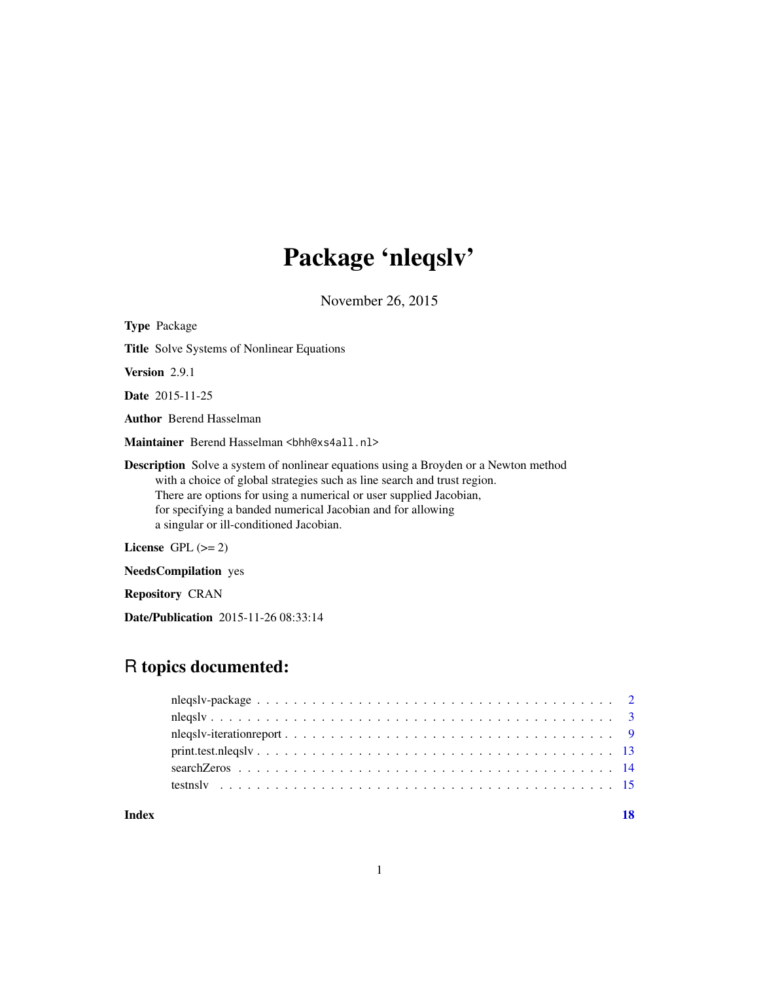# Package 'nleqslv'

November 26, 2015

<span id="page-0-0"></span>

| <b>Type Package</b>            |                                                                                                                                                                                                                                                                                                                                                         |
|--------------------------------|---------------------------------------------------------------------------------------------------------------------------------------------------------------------------------------------------------------------------------------------------------------------------------------------------------------------------------------------------------|
|                                | <b>Title</b> Solve Systems of Nonlinear Equations                                                                                                                                                                                                                                                                                                       |
| <b>Version</b> 2.9.1           |                                                                                                                                                                                                                                                                                                                                                         |
| <b>Date</b> 2015-11-25         |                                                                                                                                                                                                                                                                                                                                                         |
| <b>Author</b> Berend Hasselman |                                                                                                                                                                                                                                                                                                                                                         |
|                                | Maintainer Berend Hasselman<br>ship of the State of State Baselman<br>Maintainer Berend Hasselman<br>Kheastal Lubberg and State Baselman<br>Kheastal Lubberg and State Baselman<br>Kheastal Lubberg and St                                                                                                                                              |
|                                | <b>Description</b> Solve a system of nonlinear equations using a Broyden or a Newton method<br>with a choice of global strategies such as line search and trust region.<br>There are options for using a numerical or user supplied Jacobian,<br>for specifying a banded numerical Jacobian and for allowing<br>a singular or ill-conditioned Jacobian. |

License GPL  $(>= 2)$ 

NeedsCompilation yes

Repository CRAN

Date/Publication 2015-11-26 08:33:14

## R topics documented:

|       | $print.test. \nnegs \n1\n2\n3\n4\n5\n6\n7\n8\n9\n10\n11\n12\n13\n14\n15\n16\n17\n18\n19\n10\n11\n12\n15\n16$           |  |
|-------|------------------------------------------------------------------------------------------------------------------------|--|
|       |                                                                                                                        |  |
|       | test nsl $v_1, \ldots, v_n, \ldots, v_n, \ldots, v_n, \ldots, v_n, \ldots, v_n, \ldots, v_1, \ldots, v_n, \ldots, v_n$ |  |
| Index | 18                                                                                                                     |  |

1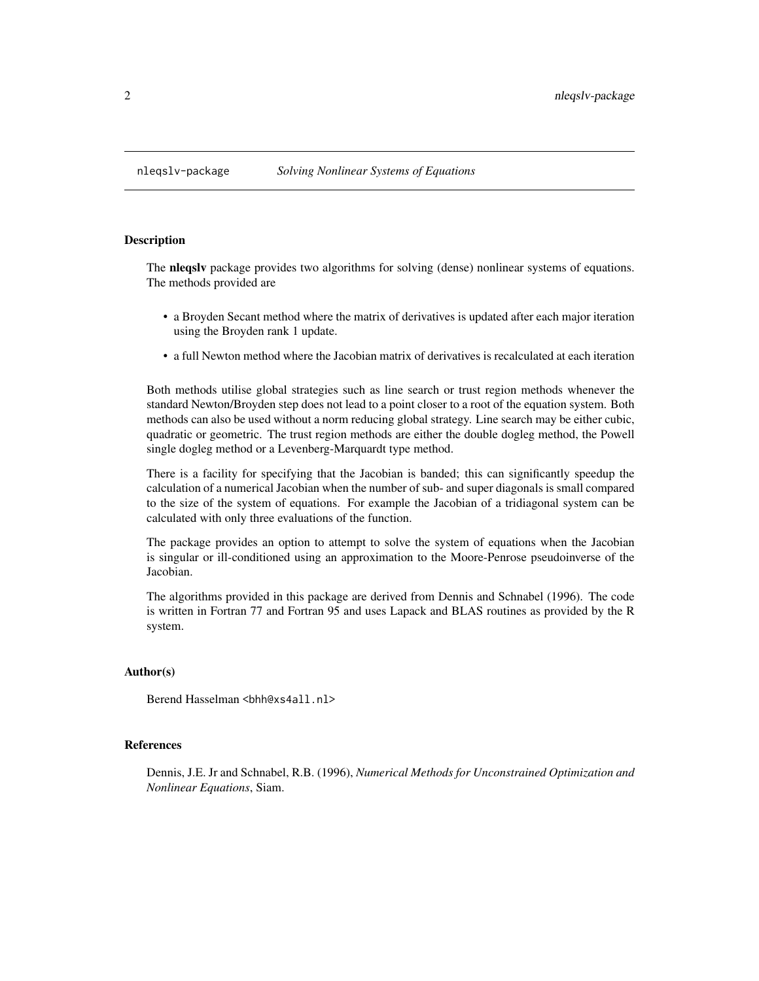<span id="page-1-0"></span>

## Description

The **nlegsly** package provides two algorithms for solving (dense) nonlinear systems of equations. The methods provided are

- a Broyden Secant method where the matrix of derivatives is updated after each major iteration using the Broyden rank 1 update.
- a full Newton method where the Jacobian matrix of derivatives is recalculated at each iteration

Both methods utilise global strategies such as line search or trust region methods whenever the standard Newton/Broyden step does not lead to a point closer to a root of the equation system. Both methods can also be used without a norm reducing global strategy. Line search may be either cubic, quadratic or geometric. The trust region methods are either the double dogleg method, the Powell single dogleg method or a Levenberg-Marquardt type method.

There is a facility for specifying that the Jacobian is banded; this can significantly speedup the calculation of a numerical Jacobian when the number of sub- and super diagonals is small compared to the size of the system of equations. For example the Jacobian of a tridiagonal system can be calculated with only three evaluations of the function.

The package provides an option to attempt to solve the system of equations when the Jacobian is singular or ill-conditioned using an approximation to the Moore-Penrose pseudoinverse of the Jacobian.

The algorithms provided in this package are derived from Dennis and Schnabel (1996). The code is written in Fortran 77 and Fortran 95 and uses Lapack and BLAS routines as provided by the R system.

## Author(s)

Berend Hasselman <br />bhh@xs4all.nl>

## References

Dennis, J.E. Jr and Schnabel, R.B. (1996), *Numerical Methods for Unconstrained Optimization and Nonlinear Equations*, Siam.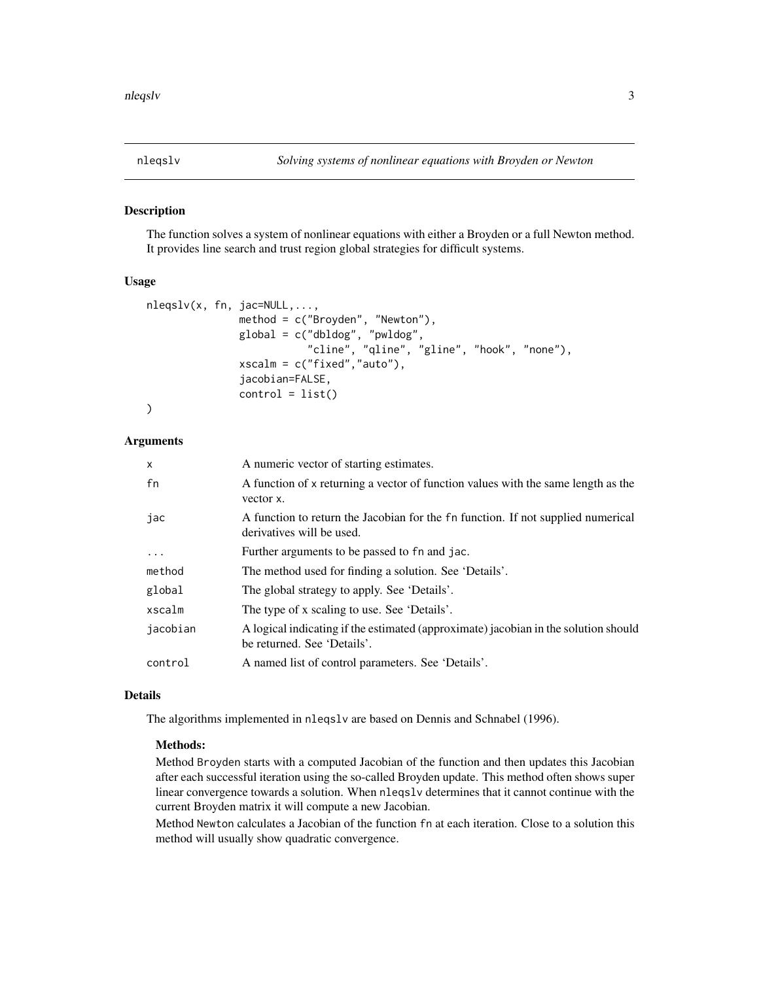<span id="page-2-1"></span><span id="page-2-0"></span>

## Description

The function solves a system of nonlinear equations with either a Broyden or a full Newton method. It provides line search and trust region global strategies for difficult systems.

## Usage

```
nleqslv(x, fn, jac=NULL,...,
               method = c("Broyden", "Newton"),
               global = c("dbldog", "pwldog",
                          "cline", "qline", "gline", "hook", "none"),
               xscalm = c("fixed","auto"),
               jacobian=FALSE,
               control = list()
```
## )

## Arguments

| $\times$ | A numeric vector of starting estimates.                                                                            |
|----------|--------------------------------------------------------------------------------------------------------------------|
| fn       | A function of x returning a vector of function values with the same length as the<br>vector x.                     |
| јас      | A function to return the Jacobian for the fn function. If not supplied numerical<br>derivatives will be used.      |
| .        | Further arguments to be passed to fn and jac.                                                                      |
| method   | The method used for finding a solution. See 'Details'.                                                             |
| global   | The global strategy to apply. See 'Details'.                                                                       |
| xscalm   | The type of x scaling to use. See 'Details'.                                                                       |
| jacobian | A logical indicating if the estimated (approximate) jacobian in the solution should<br>be returned. See 'Details'. |
| control  | A named list of control parameters. See 'Details'.                                                                 |

## Details

The algorithms implemented in nleqslv are based on Dennis and Schnabel (1996).

## Methods:

Method Broyden starts with a computed Jacobian of the function and then updates this Jacobian after each successful iteration using the so-called Broyden update. This method often shows super linear convergence towards a solution. When nleqslv determines that it cannot continue with the current Broyden matrix it will compute a new Jacobian.

Method Newton calculates a Jacobian of the function fn at each iteration. Close to a solution this method will usually show quadratic convergence.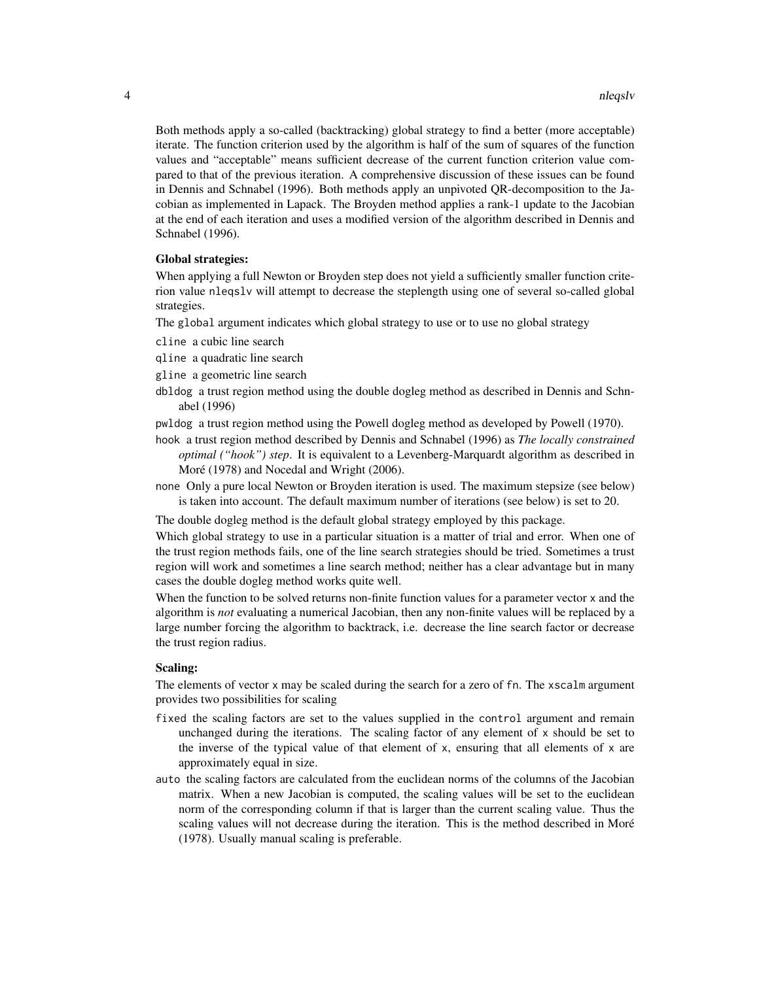Both methods apply a so-called (backtracking) global strategy to find a better (more acceptable) iterate. The function criterion used by the algorithm is half of the sum of squares of the function values and "acceptable" means sufficient decrease of the current function criterion value compared to that of the previous iteration. A comprehensive discussion of these issues can be found in Dennis and Schnabel (1996). Both methods apply an unpivoted QR-decomposition to the Jacobian as implemented in Lapack. The Broyden method applies a rank-1 update to the Jacobian at the end of each iteration and uses a modified version of the algorithm described in Dennis and Schnabel (1996).

## Global strategies:

When applying a full Newton or Broyden step does not yield a sufficiently smaller function criterion value nleqslv will attempt to decrease the steplength using one of several so-called global strategies.

The global argument indicates which global strategy to use or to use no global strategy

cline a cubic line search

qline a quadratic line search

gline a geometric line search

- dbldog a trust region method using the double dogleg method as described in Dennis and Schnabel (1996)
- pwldog a trust region method using the Powell dogleg method as developed by Powell (1970).
- hook a trust region method described by Dennis and Schnabel (1996) as *The locally constrained optimal ("hook") step*. It is equivalent to a Levenberg-Marquardt algorithm as described in Moré (1978) and Nocedal and Wright (2006).
- none Only a pure local Newton or Broyden iteration is used. The maximum stepsize (see below) is taken into account. The default maximum number of iterations (see below) is set to 20.

The double dogleg method is the default global strategy employed by this package.

Which global strategy to use in a particular situation is a matter of trial and error. When one of the trust region methods fails, one of the line search strategies should be tried. Sometimes a trust region will work and sometimes a line search method; neither has a clear advantage but in many cases the double dogleg method works quite well.

When the function to be solved returns non-finite function values for a parameter vector x and the algorithm is *not* evaluating a numerical Jacobian, then any non-finite values will be replaced by a large number forcing the algorithm to backtrack, i.e. decrease the line search factor or decrease the trust region radius.

## Scaling:

The elements of vector x may be scaled during the search for a zero of fn. The xscalm argument provides two possibilities for scaling

- fixed the scaling factors are set to the values supplied in the control argument and remain unchanged during the iterations. The scaling factor of any element of x should be set to the inverse of the typical value of that element of  $x$ , ensuring that all elements of  $x$  are approximately equal in size.
- auto the scaling factors are calculated from the euclidean norms of the columns of the Jacobian matrix. When a new Jacobian is computed, the scaling values will be set to the euclidean norm of the corresponding column if that is larger than the current scaling value. Thus the scaling values will not decrease during the iteration. This is the method described in Moré (1978). Usually manual scaling is preferable.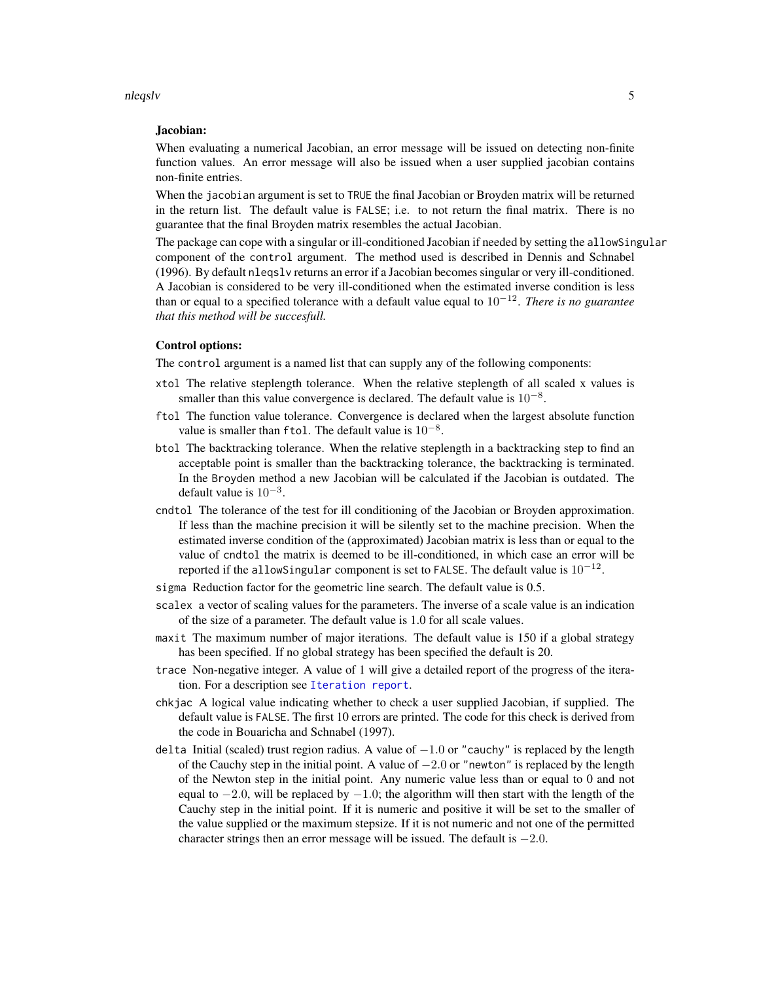#### nleqslv 5

#### Jacobian:

When evaluating a numerical Jacobian, an error message will be issued on detecting non-finite function values. An error message will also be issued when a user supplied jacobian contains non-finite entries.

When the jacobian argument is set to TRUE the final Jacobian or Broyden matrix will be returned in the return list. The default value is FALSE; i.e. to not return the final matrix. There is no guarantee that the final Broyden matrix resembles the actual Jacobian.

The package can cope with a singular or ill-conditioned Jacobian if needed by setting the allowSingular component of the control argument. The method used is described in Dennis and Schnabel (1996). By default nleqslv returns an error if a Jacobian becomes singular or very ill-conditioned. A Jacobian is considered to be very ill-conditioned when the estimated inverse condition is less than or equal to a specified tolerance with a default value equal to 10−<sup>12</sup> . *There is no guarantee that this method will be succesfull.*

## Control options:

The control argument is a named list that can supply any of the following components:

- xtol The relative steplength tolerance. When the relative steplength of all scaled x values is smaller than this value convergence is declared. The default value is  $10^{-8}$ .
- ftol The function value tolerance. Convergence is declared when the largest absolute function value is smaller than ftol. The default value is  $10^{-8}$ .
- btol The backtracking tolerance. When the relative steplength in a backtracking step to find an acceptable point is smaller than the backtracking tolerance, the backtracking is terminated. In the Broyden method a new Jacobian will be calculated if the Jacobian is outdated. The default value is  $10^{-3}$ .
- cndtol The tolerance of the test for ill conditioning of the Jacobian or Broyden approximation. If less than the machine precision it will be silently set to the machine precision. When the estimated inverse condition of the (approximated) Jacobian matrix is less than or equal to the value of cndtol the matrix is deemed to be ill-conditioned, in which case an error will be reported if the allowSingular component is set to FALSE. The default value is  $10^{-12}$ .
- sigma Reduction factor for the geometric line search. The default value is 0.5.
- scalex a vector of scaling values for the parameters. The inverse of a scale value is an indication of the size of a parameter. The default value is 1.0 for all scale values.
- maxit The maximum number of major iterations. The default value is 150 if a global strategy has been specified. If no global strategy has been specified the default is 20.
- trace Non-negative integer. A value of 1 will give a detailed report of the progress of the iteration. For a description see [Iteration report](#page-0-0).
- chkjac A logical value indicating whether to check a user supplied Jacobian, if supplied. The default value is FALSE. The first 10 errors are printed. The code for this check is derived from the code in Bouaricha and Schnabel (1997).
- delta Initial (scaled) trust region radius. A value of −1.0 or "cauchy" is replaced by the length of the Cauchy step in the initial point. A value of  $-2.0$  or "newton" is replaced by the length of the Newton step in the initial point. Any numeric value less than or equal to 0 and not equal to  $-2.0$ , will be replaced by  $-1.0$ ; the algorithm will then start with the length of the Cauchy step in the initial point. If it is numeric and positive it will be set to the smaller of the value supplied or the maximum stepsize. If it is not numeric and not one of the permitted character strings then an error message will be issued. The default is  $-2.0$ .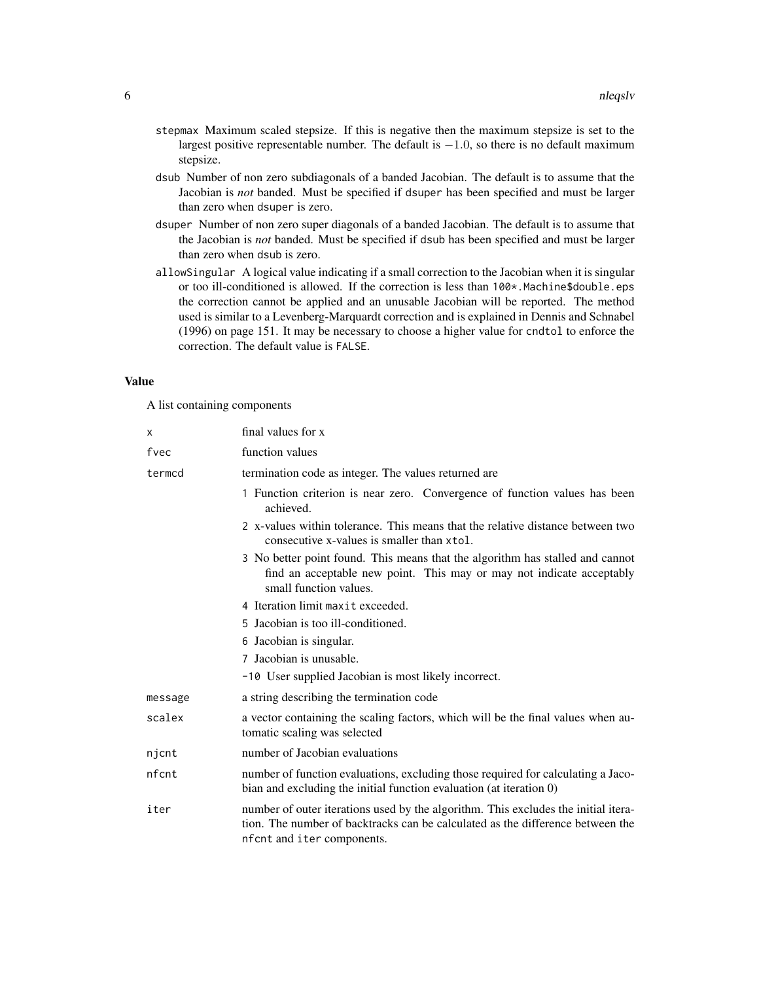- stepmax Maximum scaled stepsize. If this is negative then the maximum stepsize is set to the largest positive representable number. The default is  $-1.0$ , so there is no default maximum stepsize.
- dsub Number of non zero subdiagonals of a banded Jacobian. The default is to assume that the Jacobian is *not* banded. Must be specified if dsuper has been specified and must be larger than zero when dsuper is zero.
- dsuper Number of non zero super diagonals of a banded Jacobian. The default is to assume that the Jacobian is *not* banded. Must be specified if dsub has been specified and must be larger than zero when dsub is zero.
- allowSingular A logical value indicating if a small correction to the Jacobian when it is singular or too ill-conditioned is allowed. If the correction is less than 100\*.Machine\$double.eps the correction cannot be applied and an unusable Jacobian will be reported. The method used is similar to a Levenberg-Marquardt correction and is explained in Dennis and Schnabel (1996) on page 151. It may be necessary to choose a higher value for cndtol to enforce the correction. The default value is FALSE.

## Value

A list containing components

| x       | final values for x                                                                                                                                                                                  |  |  |  |  |  |  |
|---------|-----------------------------------------------------------------------------------------------------------------------------------------------------------------------------------------------------|--|--|--|--|--|--|
| fvec    | function values                                                                                                                                                                                     |  |  |  |  |  |  |
| termcd  | termination code as integer. The values returned are                                                                                                                                                |  |  |  |  |  |  |
|         | 1 Function criterion is near zero. Convergence of function values has been<br>achieved.                                                                                                             |  |  |  |  |  |  |
|         | 2 x-values within tolerance. This means that the relative distance between two<br>consecutive x-values is smaller than xtol.                                                                        |  |  |  |  |  |  |
|         | 3 No better point found. This means that the algorithm has stalled and cannot<br>find an acceptable new point. This may or may not indicate acceptably<br>small function values.                    |  |  |  |  |  |  |
|         | 4 Iteration limit maxit exceeded.                                                                                                                                                                   |  |  |  |  |  |  |
|         | 5 Jacobian is too ill-conditioned.                                                                                                                                                                  |  |  |  |  |  |  |
|         | 6 Jacobian is singular.                                                                                                                                                                             |  |  |  |  |  |  |
|         | 7 Jacobian is unusable.                                                                                                                                                                             |  |  |  |  |  |  |
|         | -10 User supplied Jacobian is most likely incorrect.                                                                                                                                                |  |  |  |  |  |  |
| message | a string describing the termination code                                                                                                                                                            |  |  |  |  |  |  |
| scalex  | a vector containing the scaling factors, which will be the final values when au-<br>tomatic scaling was selected                                                                                    |  |  |  |  |  |  |
| njcnt   | number of Jacobian evaluations                                                                                                                                                                      |  |  |  |  |  |  |
| nfcnt   | number of function evaluations, excluding those required for calculating a Jaco-<br>bian and excluding the initial function evaluation (at iteration 0)                                             |  |  |  |  |  |  |
| iter    | number of outer iterations used by the algorithm. This excludes the initial itera-<br>tion. The number of backtracks can be calculated as the difference between the<br>nf cnt and iter components. |  |  |  |  |  |  |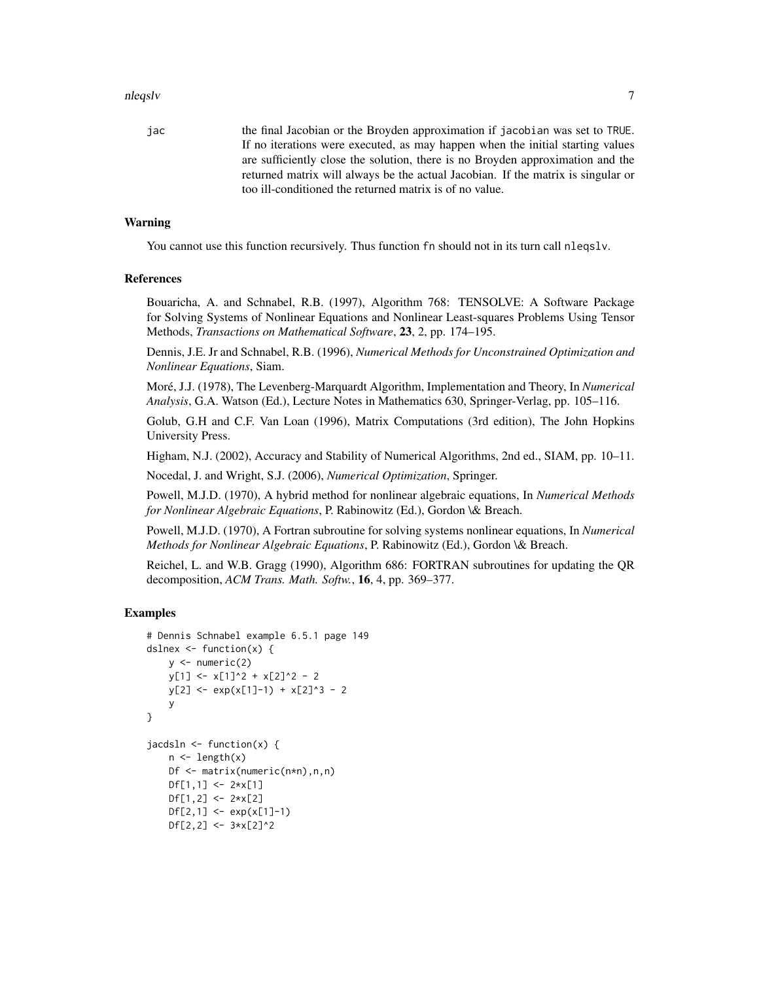#### nleqslv 7

jac the final Jacobian or the Broyden approximation if jacobian was set to TRUE. If no iterations were executed, as may happen when the initial starting values are sufficiently close the solution, there is no Broyden approximation and the returned matrix will always be the actual Jacobian. If the matrix is singular or too ill-conditioned the returned matrix is of no value.

## Warning

You cannot use this function recursively. Thus function fn should not in its turn call nleqslv.

## References

Bouaricha, A. and Schnabel, R.B. (1997), Algorithm 768: TENSOLVE: A Software Package for Solving Systems of Nonlinear Equations and Nonlinear Least-squares Problems Using Tensor Methods, *Transactions on Mathematical Software*, 23, 2, pp. 174–195.

Dennis, J.E. Jr and Schnabel, R.B. (1996), *Numerical Methods for Unconstrained Optimization and Nonlinear Equations*, Siam.

Moré, J.J. (1978), The Levenberg-Marquardt Algorithm, Implementation and Theory, In *Numerical Analysis*, G.A. Watson (Ed.), Lecture Notes in Mathematics 630, Springer-Verlag, pp. 105–116.

Golub, G.H and C.F. Van Loan (1996), Matrix Computations (3rd edition), The John Hopkins University Press.

Higham, N.J. (2002), Accuracy and Stability of Numerical Algorithms, 2nd ed., SIAM, pp. 10–11.

Nocedal, J. and Wright, S.J. (2006), *Numerical Optimization*, Springer.

Powell, M.J.D. (1970), A hybrid method for nonlinear algebraic equations, In *Numerical Methods for Nonlinear Algebraic Equations*, P. Rabinowitz (Ed.), Gordon \& Breach.

Powell, M.J.D. (1970), A Fortran subroutine for solving systems nonlinear equations, In *Numerical Methods for Nonlinear Algebraic Equations*, P. Rabinowitz (Ed.), Gordon \& Breach.

Reichel, L. and W.B. Gragg (1990), Algorithm 686: FORTRAN subroutines for updating the QR decomposition, *ACM Trans. Math. Softw.*, 16, 4, pp. 369–377.

## Examples

```
# Dennis Schnabel example 6.5.1 page 149
dslnex \leq function(x) {
    y \le - numeric(2)
    y[1] <- x[1]<sup>2</sup> + x[2]<sup>2</sup> - 2
    y[2] \leftarrow \exp(x[1]-1) + x[2]^3 - 2y
}
jacdsln \leftarrow function(x) {
    n \leftarrow length(x)Df <- matrix(numeric(n*n),n,n)
    Df[1,1] <- 2*x[1]Df[1,2] <- 2*x[2]Df[2,1] <- exp(x[1]-1)Df[2,2] <- 3*x[2]^2
```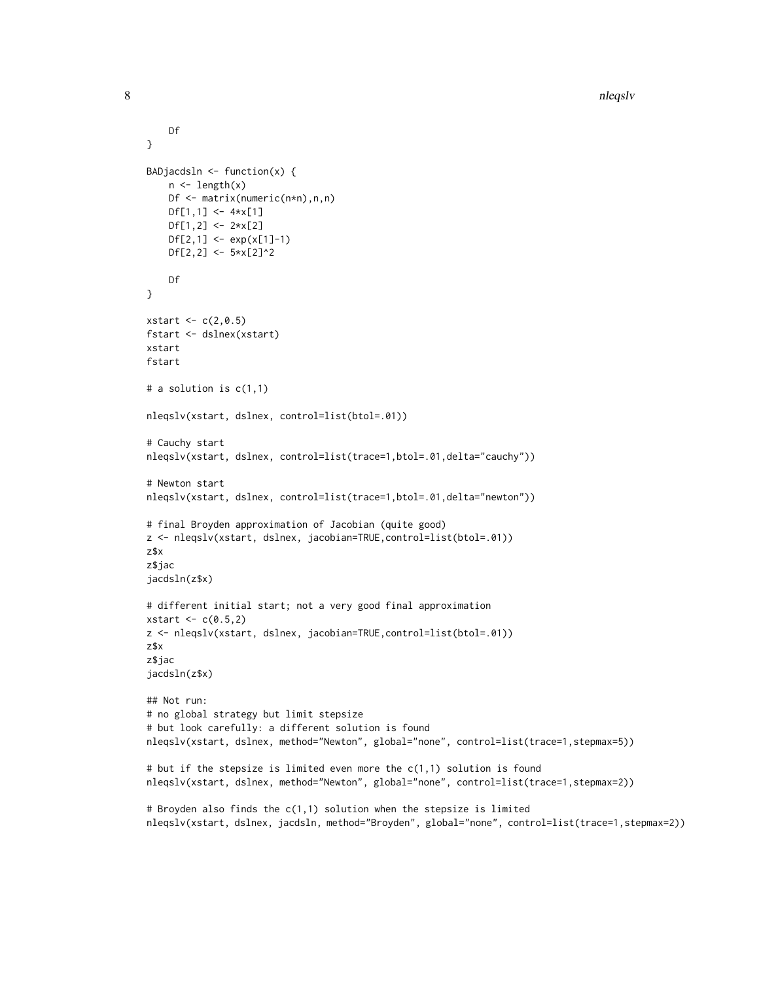```
Df
}
BADjacdsln \leq function(x) {
   n \leftarrow length(x)Df <- matrix(numeric(n*n),n,n)
   Df[1,1] <- 4*x[1]Df[1,2] <- 2*x[2]Df[2,1] \leftarrow \exp(x[1]-1)Df[2,2] <- 5*x[2]^2Df
}
xstart \leftarrow c(2, 0.5)fstart <- dslnex(xstart)
xstart
fstart
# a solution is c(1,1)
nleqslv(xstart, dslnex, control=list(btol=.01))
# Cauchy start
nleqslv(xstart, dslnex, control=list(trace=1,btol=.01,delta="cauchy"))
# Newton start
nleqslv(xstart, dslnex, control=list(trace=1,btol=.01,delta="newton"))
# final Broyden approximation of Jacobian (quite good)
z <- nleqslv(xstart, dslnex, jacobian=TRUE,control=list(btol=.01))
z$x
z$jac
jacdsln(z$x)
# different initial start; not a very good final approximation
xstart < -c(0.5, 2)z <- nleqslv(xstart, dslnex, jacobian=TRUE,control=list(btol=.01))
z$x
z$jac
jacdsln(z$x)
## Not run:
# no global strategy but limit stepsize
# but look carefully: a different solution is found
nleqslv(xstart, dslnex, method="Newton", global="none", control=list(trace=1,stepmax=5))
# but if the stepsize is limited even more the c(1,1) solution is found
nleqslv(xstart, dslnex, method="Newton", global="none", control=list(trace=1,stepmax=2))
# Broyden also finds the c(1,1) solution when the stepsize is limited
nleqslv(xstart, dslnex, jacdsln, method="Broyden", global="none", control=list(trace=1,stepmax=2))
```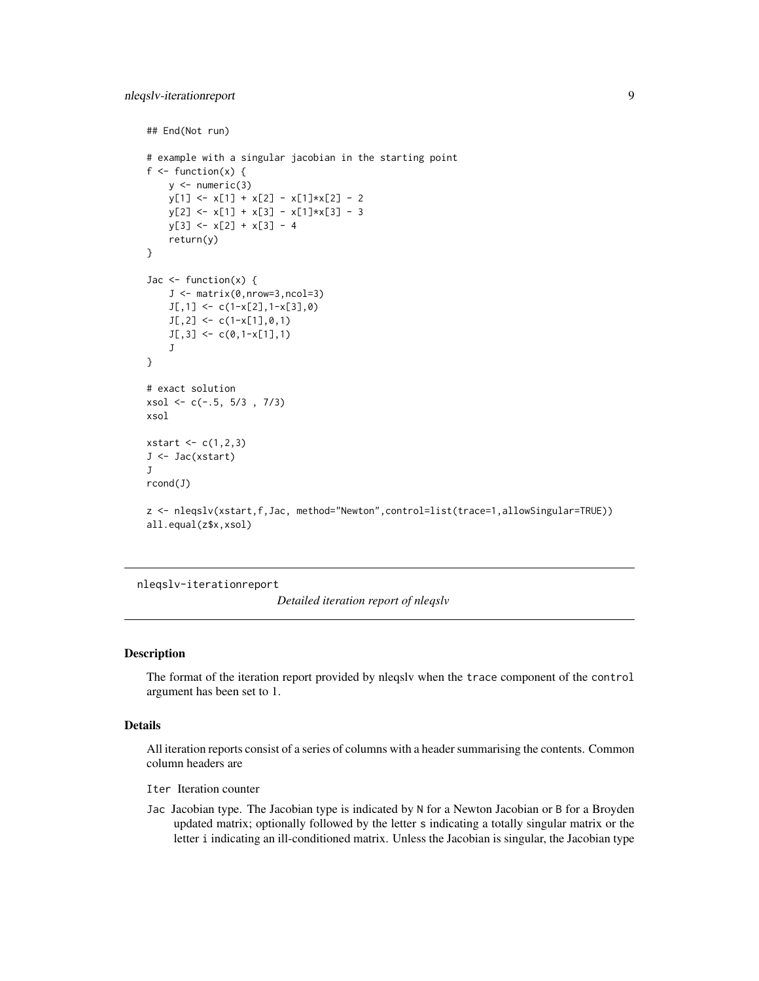```
## End(Not run)
# example with a singular jacobian in the starting point
f \leftarrow function(x) {
    y \leftarrow numeric(3)
    y[1] \leftarrow x[1] + x[2] - x[1]*x[2] - 2y[2] \leftarrow x[1] + x[3] - x[1]*x[3] - 3y[3] <- x[2] + x[3] - 4
    return(y)
}
Jac \leq function(x) {
    J <- matrix(0,nrow=3,ncol=3)
    J[, 1] \leftarrow c(1-x[2], 1-x[3], 0)J[, 2] \leftarrow c(1-x[1], 0, 1)J[, 3] <- c(0,1-x[1],1)
    J
}
# exact solution
xsol <- c(-.5, 5/3 , 7/3)
xsol
xstart \leftarrow c(1,2,3)J <- Jac(xstart)
J
rcond(J)
z <- nleqslv(xstart,f,Jac, method="Newton",control=list(trace=1,allowSingular=TRUE))
all.equal(z$x,xsol)
```
nleqslv-iterationreport

*Detailed iteration report of nleqslv*

## Description

The format of the iteration report provided by nleqslv when the trace component of the control argument has been set to 1.

## Details

All iteration reports consist of a series of columns with a header summarising the contents. Common column headers are

Iter Iteration counter

Jac Jacobian type. The Jacobian type is indicated by N for a Newton Jacobian or B for a Broyden updated matrix; optionally followed by the letter s indicating a totally singular matrix or the letter i indicating an ill-conditioned matrix. Unless the Jacobian is singular, the Jacobian type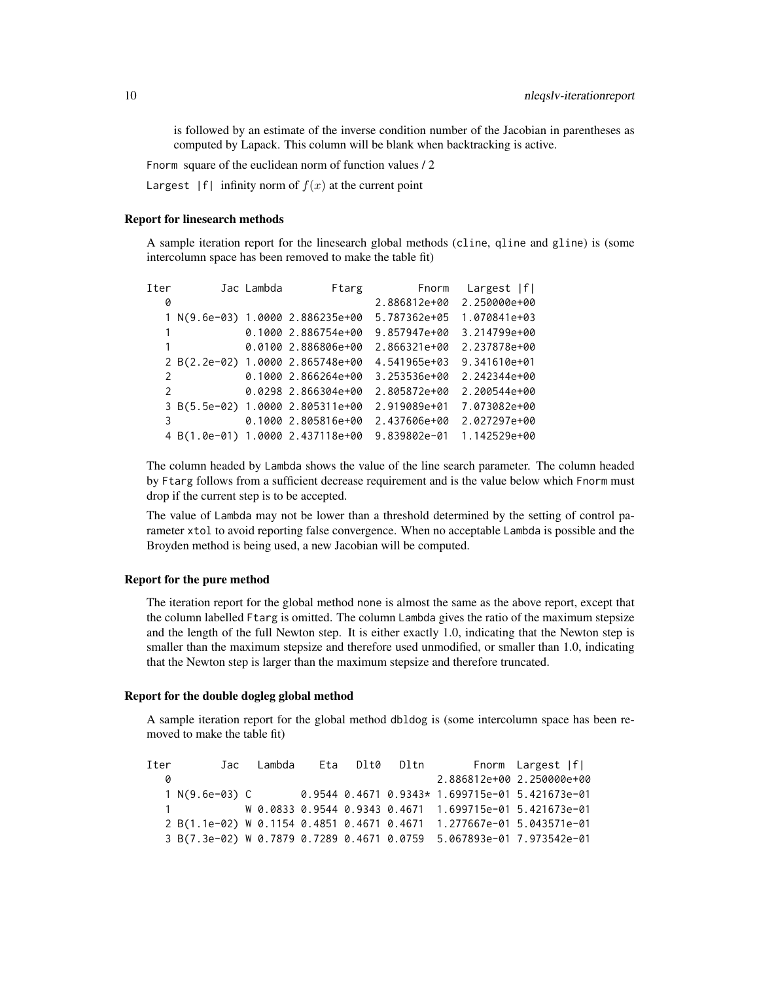is followed by an estimate of the inverse condition number of the Jacobian in parentheses as computed by Lapack. This column will be blank when backtracking is active.

Fnorm square of the euclidean norm of function values / 2

Largest  $|f|$  infinity norm of  $f(x)$  at the current point

## Report for linesearch methods

A sample iteration report for the linesearch global methods (cline, qline and gline) is (some intercolumn space has been removed to make the table fit)

| Iter          | Jac Lambda | Ftarg                            | Fnorm        | Largest  f   |
|---------------|------------|----------------------------------|--------------|--------------|
| 0             |            |                                  | 2.886812e+00 | 2.250000e+00 |
|               |            | 1 N(9.6e-03) 1.0000 2.886235e+00 | 5.787362e+05 | 1.070841e+03 |
|               |            | 0.1000 2.886754e+00              | 9.857947e+00 | 3.214799e+00 |
|               |            | 0.0100 2.886806e+00              | 2.866321e+00 | 2.237878e+00 |
|               |            | 2 B(2.2e-02) 1.0000 2.865748e+00 | 4.541965e+03 | 9.341610e+01 |
| 2             |            | $0.10002.866264e+00$             | 3.253536e+00 | 2.242344e+00 |
| $\mathcal{P}$ |            | 0.0298 2.866304e+00              | 2.805872e+00 | 2.200544e+00 |
|               |            | 3 B(5.5e-02) 1.0000 2.805311e+00 | 2.919089e+01 | 7.073082e+00 |
| 3             |            | 0.1000 2.805816e+00              | 2.437606e+00 | 2.027297e+00 |
|               |            | 4 B(1.0e-01) 1.0000 2.437118e+00 | 9.839802e-01 | 1.142529e+00 |

The column headed by Lambda shows the value of the line search parameter. The column headed by Ftarg follows from a sufficient decrease requirement and is the value below which Fnorm must drop if the current step is to be accepted.

The value of Lambda may not be lower than a threshold determined by the setting of control parameter xtol to avoid reporting false convergence. When no acceptable Lambda is possible and the Broyden method is being used, a new Jacobian will be computed.

## Report for the pure method

The iteration report for the global method none is almost the same as the above report, except that the column labelled Ftarg is omitted. The column Lambda gives the ratio of the maximum stepsize and the length of the full Newton step. It is either exactly 1.0, indicating that the Newton step is smaller than the maximum stepsize and therefore used unmodified, or smaller than 1.0, indicating that the Newton step is larger than the maximum stepsize and therefore truncated.

#### Report for the double dogleg global method

A sample iteration report for the global method dbldog is (some intercolumn space has been removed to make the table fit)

Iter Jac Lambda Eta Dlt0 Dltn Fnorm Largest |f| 0 2.886812e+00 2.250000e+00 1 N(9.6e-03) C 0.9544 0.4671 0.9343\* 1.699715e-01 5.421673e-01 1 W 0.0833 0.9544 0.9343 0.4671 1.699715e-01 5.421673e-01 2 B(1.1e-02) W 0.1154 0.4851 0.4671 0.4671 1.277667e-01 5.043571e-01 3 B(7.3e-02) W 0.7879 0.7289 0.4671 0.0759 5.067893e-01 7.973542e-01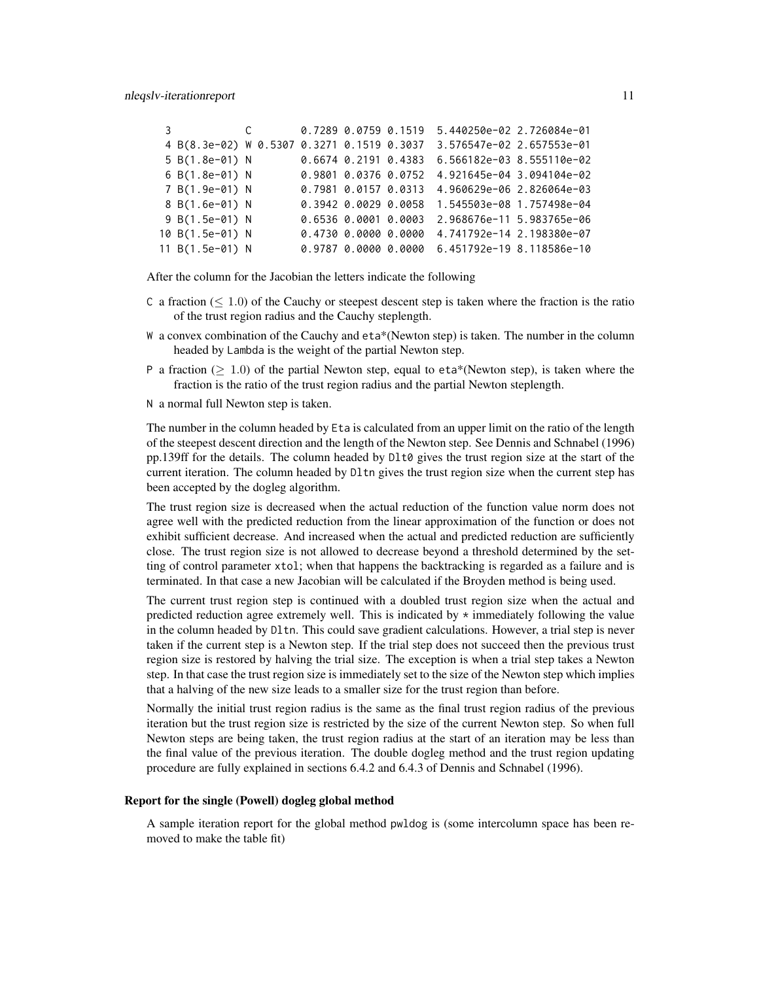| 3 |                       | $\mathsf{C}$ |                            | 0.7289 0.0759 0.1519 | 5.440250e-02 2.726084e-01 |  |
|---|-----------------------|--------------|----------------------------|----------------------|---------------------------|--|
|   | 4 B(8.3e-02) W 0.5307 |              | 0.3271 0.1519 0.3037       |                      | 3.576547e-02 2.657553e-01 |  |
|   | 5 B(1.8e-01) N        |              | $0.6674$ $0.2191$ $0.4383$ |                      | 6.566182e-03 8.555110e-02 |  |
|   | 6 B(1.8e-01) N        |              | 0.9801 0.0376 0.0752       |                      | 4.921645e-04 3.094104e-02 |  |
|   | 7 B(1.9e-01) N        |              | 0.7981 0.0157 0.0313       |                      | 4.960629e-06 2.826064e-03 |  |
|   | 8 B(1.6e-01) N        |              | 0.3942 0.0029 0.0058       |                      | 1.545503e-08 1.757498e-04 |  |
|   | 9 B(1.5e-01) N        |              | 0.6536 0.0001 0.0003       |                      | 2.968676e-11 5.983765e-06 |  |
|   | 10 B(1.5e-01) N       |              | 0.473000.000000000         |                      | 4.741792e-14 2.198380e-07 |  |
|   | 11 B(1.5e-01) N       |              |                            | 0.9787 0.0000 0.0000 | 6.451792e-19 8.118586e-10 |  |

After the column for the Jacobian the letters indicate the following

- C a fraction  $(\leq 1.0)$  of the Cauchy or steepest descent step is taken where the fraction is the ratio of the trust region radius and the Cauchy steplength.
- W a convex combination of the Cauchy and eta\*(Newton step) is taken. The number in the column headed by Lambda is the weight of the partial Newton step.
- P a fraction ( $> 1.0$ ) of the partial Newton step, equal to eta\*(Newton step), is taken where the fraction is the ratio of the trust region radius and the partial Newton steplength.

N a normal full Newton step is taken.

The number in the column headed by Eta is calculated from an upper limit on the ratio of the length of the steepest descent direction and the length of the Newton step. See Dennis and Schnabel (1996) pp.139ff for the details. The column headed by Dlt0 gives the trust region size at the start of the current iteration. The column headed by Dltn gives the trust region size when the current step has been accepted by the dogleg algorithm.

The trust region size is decreased when the actual reduction of the function value norm does not agree well with the predicted reduction from the linear approximation of the function or does not exhibit sufficient decrease. And increased when the actual and predicted reduction are sufficiently close. The trust region size is not allowed to decrease beyond a threshold determined by the setting of control parameter xtol; when that happens the backtracking is regarded as a failure and is terminated. In that case a new Jacobian will be calculated if the Broyden method is being used.

The current trust region step is continued with a doubled trust region size when the actual and predicted reduction agree extremely well. This is indicated by  $\star$  immediately following the value in the column headed by Dltn. This could save gradient calculations. However, a trial step is never taken if the current step is a Newton step. If the trial step does not succeed then the previous trust region size is restored by halving the trial size. The exception is when a trial step takes a Newton step. In that case the trust region size is immediately set to the size of the Newton step which implies that a halving of the new size leads to a smaller size for the trust region than before.

Normally the initial trust region radius is the same as the final trust region radius of the previous iteration but the trust region size is restricted by the size of the current Newton step. So when full Newton steps are being taken, the trust region radius at the start of an iteration may be less than the final value of the previous iteration. The double dogleg method and the trust region updating procedure are fully explained in sections 6.4.2 and 6.4.3 of Dennis and Schnabel (1996).

## Report for the single (Powell) dogleg global method

A sample iteration report for the global method pwldog is (some intercolumn space has been removed to make the table fit)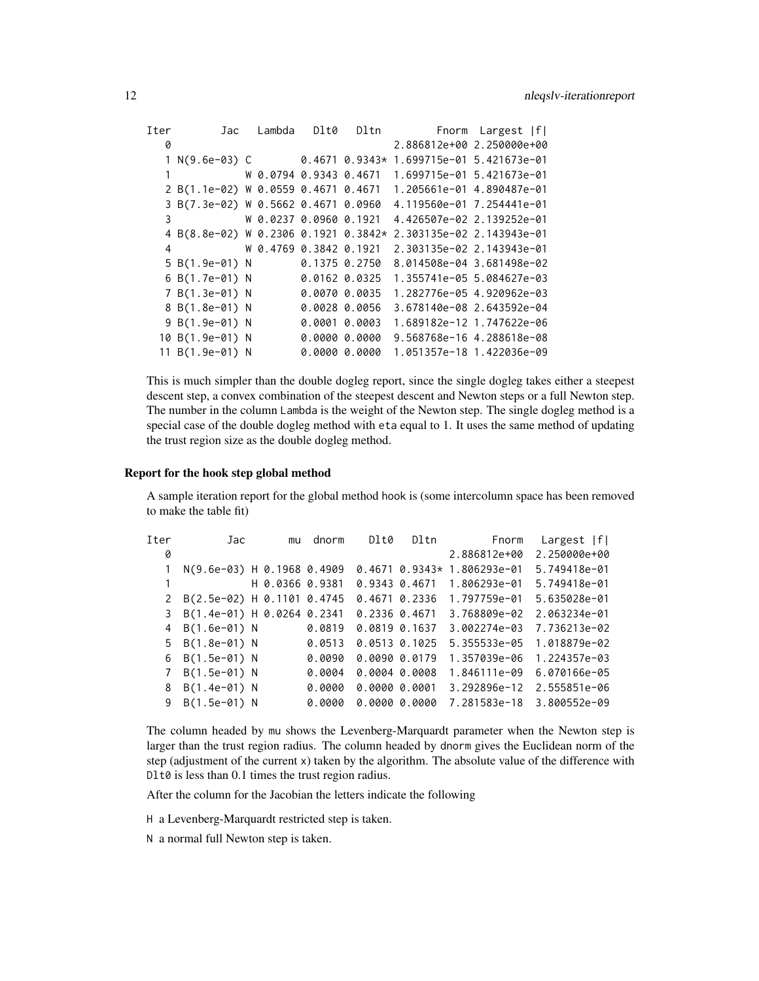| Iter | Jac                                  | Lambda | D1t0                   | Dltn Fnorm Largest   f    |  |
|------|--------------------------------------|--------|------------------------|---------------------------|--|
| 0    |                                      |        |                        | 2.886812e+00 2.250000e+00 |  |
|      | $1 N(9.6e-03) C 0.4671 0.9343*$      |        |                        | 1.699715e-01 5.421673e-01 |  |
|      |                                      |        | W 0.0794 0.9343 0.4671 | 1.699715e-01 5.421673e-01 |  |
|      | 2 B(1.1e-02) W 0.0559 0.4671 0.4671  |        |                        | 1.205661e-01 4.890487e-01 |  |
|      | 3 B(7.3e-02) W 0.5662 0.4671 0.0960  |        |                        | 4.119560e-01 7.254441e-01 |  |
| 3    |                                      |        | W 0.0237 0.0960 0.1921 | 4.426507e-02 2.139252e-01 |  |
|      | 4 B(8.8e-02) W 0.2306 0.1921 0.3842* |        |                        | 2.303135e-02 2.143943e-01 |  |
| 4    | W 0.4769 0.3842 0.1921               |        |                        | 2.303135e-02 2.143943e-01 |  |
|      | 5 B(1.9e-01) N                       |        | 0.1375 0.2750          | 8.014508e-04 3.681498e-02 |  |
|      | 6 B(1.7e-01) N                       |        | 0.0162 0.0325          | 1.355741e-05 5.084627e-03 |  |
|      | 7 B(1.3e-01) N                       |        | 0.0070 0.0035          | 1.282776e-05 4.920962e-03 |  |
|      | 8 B(1.8e-01) N                       |        | 0.0028 0.0056          | 3.678140e-08 2.643592e-04 |  |
|      | 9 B(1.9e-01) N                       |        | $0.0001$ $0.0003$      | 1.689182e-12 1.747622e-06 |  |
|      | 10 B(1.9e-01) N                      |        | 0.000000.0000          | 9.568768e-16 4.288618e-08 |  |
|      | 11 B(1.9e-01) N                      |        | 0.000000.0000          | 1.051357e-18 1.422036e-09 |  |

This is much simpler than the double dogleg report, since the single dogleg takes either a steepest descent step, a convex combination of the steepest descent and Newton steps or a full Newton step. The number in the column Lambda is the weight of the Newton step. The single dogleg method is a special case of the double dogleg method with eta equal to 1. It uses the same method of updating the trust region size as the double dogleg method.

## Report for the hook step global method

A sample iteration report for the global method hook is (some intercolumn space has been removed to make the table fit)

| Tter | Jac                          | mu              | dnorm  | Dlt0              | Dltn              | Fnorm        | Largest  f   |
|------|------------------------------|-----------------|--------|-------------------|-------------------|--------------|--------------|
| 0    |                              |                 |        |                   |                   | 2.886812e+00 | 2.250000e+00 |
|      | N(9.6e-03) H 0.1968 0.4909   |                 |        |                   | $0.4671$ 0.9343*  | 1.806293e-01 | 5.749418e-01 |
|      |                              | H 0.0366 0.9381 |        |                   | 0.9343 0.4671     | 1.806293e-01 | 5.749418e-01 |
|      | 2 B(2.5e-02) H 0.1101 0.4745 |                 |        |                   | $0.4671$ 0.2336   | 1.797759e-01 | 5.635028e-01 |
| 3    | B(1.4e-01) H 0.0264 0.2341   |                 |        | $0.2336$ $0.4671$ |                   | 3.768809e-02 | 2.063234e-01 |
| 4    | $B(1.6e-01) N$               |                 | 0.0819 | $0.0819$ $0.1637$ |                   | 3.002274e-03 | 7.736213e-02 |
|      | 5 B(1.8e-01) N               |                 | 0.0513 |                   | $0.0513$ $0.1025$ | 5.355533e-05 | 1.018879e-02 |
| 6    | $B(1.5e-01)$ N               |                 | 0.0090 |                   | 0.009000.0179     | 1.357039e-06 | 1.224357e-03 |
|      | $B(1.5e-01)$ N               |                 | 0.0004 |                   | 0.00040.0008      | 1.846111e-09 | 6.070166e-05 |
| 8    | $B(1.4e-01)$ N               |                 | 0.0000 | 0.000000.0001     |                   | 3.292896e-12 | 2.555851e-06 |
| 9    | B(1.5e-01) N                 |                 | 0.0000 |                   | 0.000000.0000     | 7.281583e-18 | 3.800552e-09 |
|      |                              |                 |        |                   |                   |              |              |

The column headed by mu shows the Levenberg-Marquardt parameter when the Newton step is larger than the trust region radius. The column headed by dnorm gives the Euclidean norm of the step (adjustment of the current x) taken by the algorithm. The absolute value of the difference with Dlt0 is less than 0.1 times the trust region radius.

After the column for the Jacobian the letters indicate the following

H a Levenberg-Marquardt restricted step is taken.

N a normal full Newton step is taken.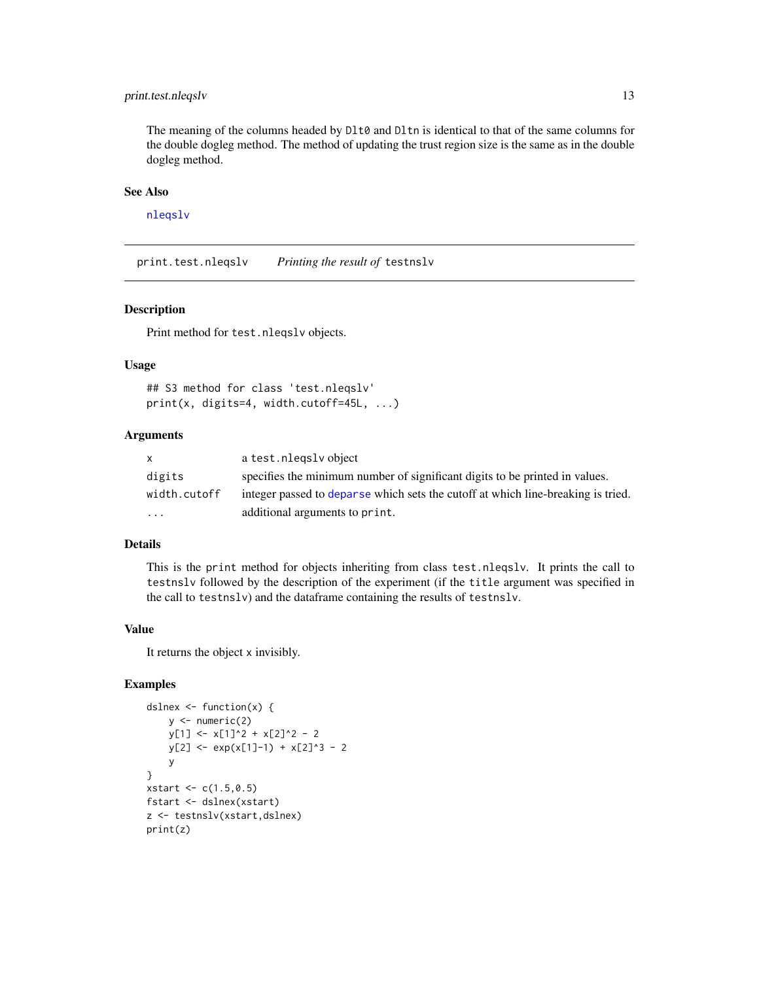## <span id="page-12-0"></span>print.test.nleqslv 13

The meaning of the columns headed by D1t0 and D1tn is identical to that of the same columns for the double dogleg method. The method of updating the trust region size is the same as in the double dogleg method.

## See Also

[nleqslv](#page-2-1)

print.test.nleqslv *Printing the result of* testnslv

## Description

Print method for test.nleqslv objects.

## Usage

```
## S3 method for class 'test.nleqslv'
print(x, digits=4, width.cutoff=45L, ...)
```
## Arguments

| X            | a test.nlegsly object                                                            |
|--------------|----------------------------------------------------------------------------------|
| digits       | specifies the minimum number of significant digits to be printed in values.      |
| width.cutoff | integer passed to deparse which sets the cutoff at which line-breaking is tried. |
| .            | additional arguments to print.                                                   |

## Details

This is the print method for objects inheriting from class test.nleqslv. It prints the call to testnslv followed by the description of the experiment (if the title argument was specified in the call to testnslv) and the dataframe containing the results of testnslv.

## Value

It returns the object x invisibly.

## Examples

```
dslnex <- function(x) {
    y \leftarrow numeric(2)
    y[1] <- x[1]^2 + x[2]^2 - 2
    y[2] <- exp(x[1]-1) + x[2]^3 - 2y
}
xstart \leftarrow c(1.5, 0.5)fstart <- dslnex(xstart)
z <- testnslv(xstart,dslnex)
print(z)
```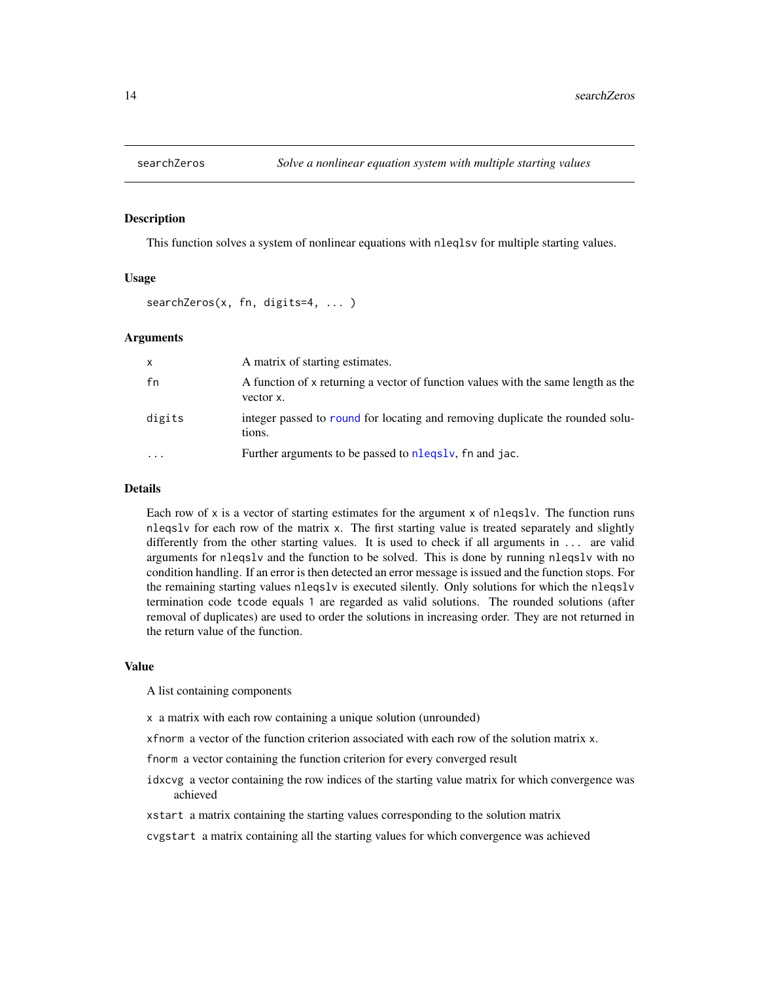<span id="page-13-0"></span>

## Description

This function solves a system of nonlinear equations with nleqlsv for multiple starting values.

## Usage

```
searchZeros(x, fn, digits=4, ... )
```
## Arguments

| x        | A matrix of starting estimates.                                                                |
|----------|------------------------------------------------------------------------------------------------|
| fn       | A function of x returning a vector of function values with the same length as the<br>vector x. |
| digits   | integer passed to round for locating and removing duplicate the rounded solu-<br>tions.        |
| $\cdots$ | Further arguments to be passed to nlegsly, fn and jac.                                         |

#### Details

Each row of x is a vector of starting estimates for the argument x of nleqslv. The function runs nleqslv for each row of the matrix x. The first starting value is treated separately and slightly differently from the other starting values. It is used to check if all arguments in ... are valid arguments for nleqslv and the function to be solved. This is done by running nleqslv with no condition handling. If an error is then detected an error message is issued and the function stops. For the remaining starting values nleqslv is executed silently. Only solutions for which the nleqslv termination code tcode equals 1 are regarded as valid solutions. The rounded solutions (after removal of duplicates) are used to order the solutions in increasing order. They are not returned in the return value of the function.

#### Value

A list containing components

x a matrix with each row containing a unique solution (unrounded)

xfnorm a vector of the function criterion associated with each row of the solution matrix x.

fnorm a vector containing the function criterion for every converged result

- idxcvg a vector containing the row indices of the starting value matrix for which convergence was achieved
- xstart a matrix containing the starting values corresponding to the solution matrix

cvgstart a matrix containing all the starting values for which convergence was achieved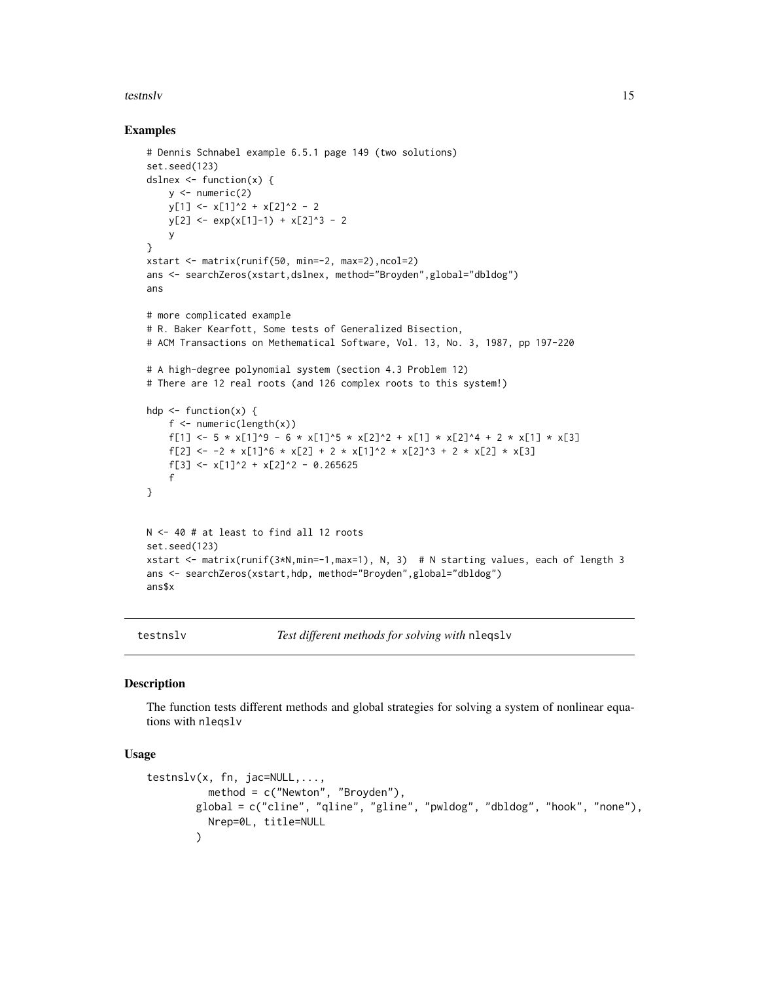#### <span id="page-14-0"></span>testnslv 15

## Examples

```
# Dennis Schnabel example 6.5.1 page 149 (two solutions)
set.seed(123)
dslnex \leq function(x) {
    y \leftarrow numeric(2)
    y[1] <- x[1]^2 + x[2]^2 - 2
    y[2] \leftarrow \exp(x[1]-1) + x[2]^3 - 2y
}
xstart <- matrix(runif(50, min=-2, max=2),ncol=2)
ans <- searchZeros(xstart,dslnex, method="Broyden",global="dbldog")
ans
# more complicated example
# R. Baker Kearfott, Some tests of Generalized Bisection,
# ACM Transactions on Methematical Software, Vol. 13, No. 3, 1987, pp 197-220
# A high-degree polynomial system (section 4.3 Problem 12)
# There are 12 real roots (and 126 complex roots to this system!)
hdp \leftarrow function(x) {
    f <- numeric(length(x))
    f[1] <- 5 * x[1]^9 - 6 * x[1]^5 * x[2]^2 + x[1] * x[2]^4 + 2 * x[1] * x[3]
    f[2] <- -2 * x[1]^6 * x[2] + 2 * x[1]^2 * x[2]^3 + 2 * x[2] * x[3]
    f[3] <- x[1]<sup>2</sup> + x[2]<sup>2</sup> - 0.265625
    f
}
N <- 40 # at least to find all 12 roots
set.seed(123)
xstart <- matrix(runif(3*N,min=-1,max=1), N, 3) # N starting values, each of length 3
ans <- searchZeros(xstart,hdp, method="Broyden",global="dbldog")
ans$x
```
testnslv *Test different methods for solving with* nleqslv

## Description

The function tests different methods and global strategies for solving a system of nonlinear equations with nleqslv

#### Usage

```
testnslv(x, fn, jac=NULL,...,
         method = c("Newton", "Broyden"),
       global = c("cline", "qline", "gline", "pwldog", "dbldog", "hook", "none"),
         Nrep=0L, title=NULL
       )
```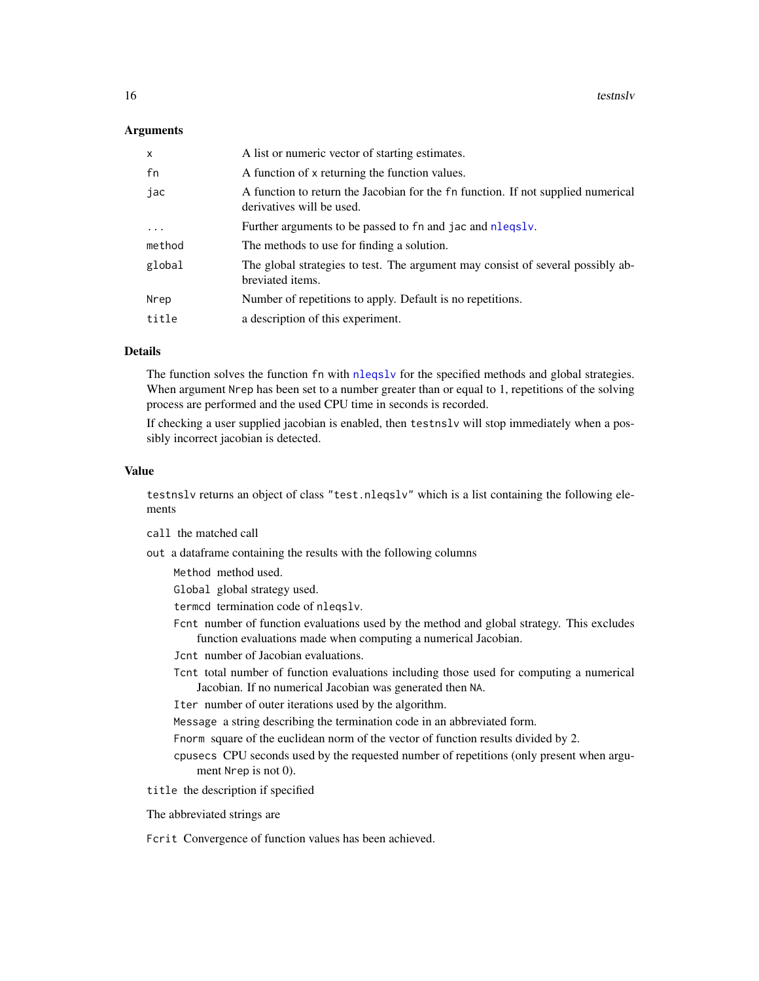## <span id="page-15-0"></span>Arguments

| $\mathsf{x}$ | A list or numeric vector of starting estimates.                                                               |
|--------------|---------------------------------------------------------------------------------------------------------------|
| fn           | A function of x returning the function values.                                                                |
| jac          | A function to return the Jacobian for the fn function. If not supplied numerical<br>derivatives will be used. |
| $\ddotsc$    | Further arguments to be passed to fn and jac and nlegsly.                                                     |
| method       | The methods to use for finding a solution.                                                                    |
| global       | The global strategies to test. The argument may consist of several possibly ab-<br>breviated items.           |
| Nrep         | Number of repetitions to apply. Default is no repetitions.                                                    |
| title        | a description of this experiment.                                                                             |

## Details

The function solves the function fn with [nleqslv](#page-2-1) for the specified methods and global strategies. When argument Nrep has been set to a number greater than or equal to 1, repetitions of the solving process are performed and the used CPU time in seconds is recorded.

If checking a user supplied jacobian is enabled, then testnslv will stop immediately when a possibly incorrect jacobian is detected.

## Value

testnslv returns an object of class "test.nleqslv" which is a list containing the following elements

- call the matched call
- out a dataframe containing the results with the following columns

Method method used.

- Global global strategy used.
- termcd termination code of nleqslv.
- Fcnt number of function evaluations used by the method and global strategy. This excludes function evaluations made when computing a numerical Jacobian.
- Jcnt number of Jacobian evaluations.
- Tcnt total number of function evaluations including those used for computing a numerical Jacobian. If no numerical Jacobian was generated then NA.
- Iter number of outer iterations used by the algorithm.
- Message a string describing the termination code in an abbreviated form.
- Fnorm square of the euclidean norm of the vector of function results divided by 2.
- cpusecs CPU seconds used by the requested number of repetitions (only present when argument Nrep is not 0).
- title the description if specified

The abbreviated strings are

Fcrit Convergence of function values has been achieved.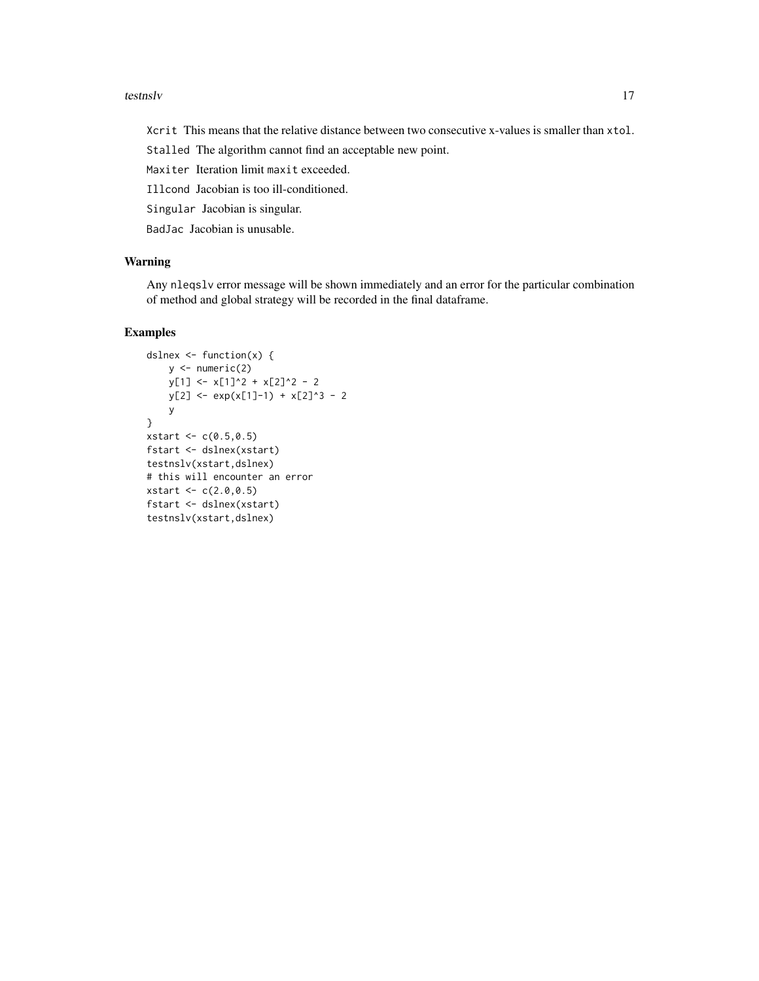#### testnslv and the state of the state of the state of the state of the state of the state of the state of the state of the state of the state of the state of the state of the state of the state of the state of the state of t

Xcrit This means that the relative distance between two consecutive x-values is smaller than xtol.

Stalled The algorithm cannot find an acceptable new point.

Maxiter Iteration limit maxit exceeded.

Illcond Jacobian is too ill-conditioned.

Singular Jacobian is singular.

BadJac Jacobian is unusable.

## Warning

Any nleqslv error message will be shown immediately and an error for the particular combination of method and global strategy will be recorded in the final dataframe.

## Examples

```
dslnex \leq function(x) {
    y \leftarrow numeric(2)
    y[1] <- x[1]^2 + x[2]^2 - 2
    y[2] <- exp(x[1]-1) + x[2]^3 - 2y
}
xstart <- c(0.5,0.5)
fstart <- dslnex(xstart)
testnslv(xstart,dslnex)
# this will encounter an error
xstart <- c(2.0,0.5)
fstart <- dslnex(xstart)
testnslv(xstart,dslnex)
```